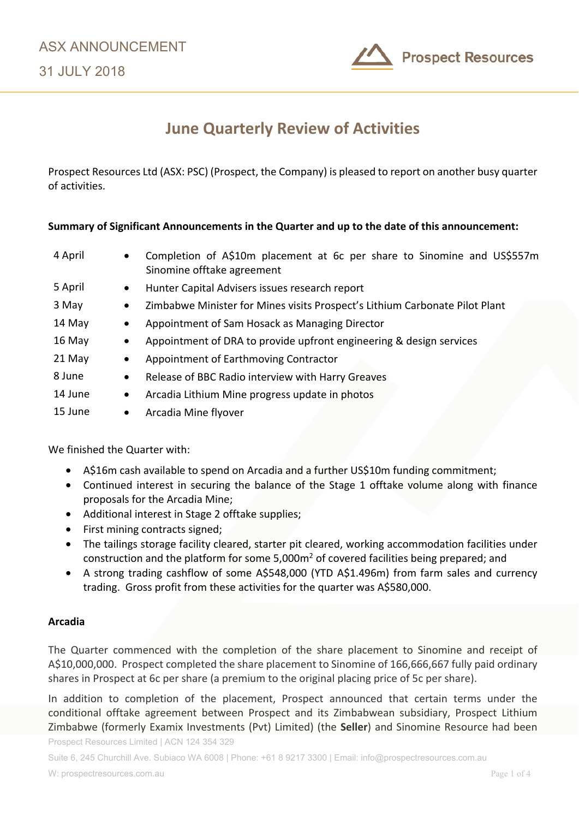

# **June Quarterly Review of Activities**

Prospect Resources Ltd (ASX: PSC) (Prospect, the Company) is pleased to report on another busy quarter of activities.

## **Summary of Significant Announcements in the Quarter and up to the date of this announcement:**

| 4 April | Completion of A\$10m placement at 6c per share to Sinomine and US\$557m<br>$\bullet$<br>Sinomine offtake agreement |  |  |
|---------|--------------------------------------------------------------------------------------------------------------------|--|--|
| 5 April | Hunter Capital Advisers issues research report<br>$\bullet$                                                        |  |  |
| 3 May   | Zimbabwe Minister for Mines visits Prospect's Lithium Carbonate Pilot Plant                                        |  |  |
| 14 May  | Appointment of Sam Hosack as Managing Director                                                                     |  |  |
| 16 May  | Appointment of DRA to provide upfront engineering & design services                                                |  |  |
| 21 May  | Appointment of Earthmoving Contractor                                                                              |  |  |
| 8 June  | Release of BBC Radio interview with Harry Greaves                                                                  |  |  |
| 14 June | Arcadia Lithium Mine progress update in photos                                                                     |  |  |
| 15 June | Arcadia Mine flyover<br>$\bullet$                                                                                  |  |  |

We finished the Quarter with:

- A\$16m cash available to spend on Arcadia and a further US\$10m funding commitment;
- Continued interest in securing the balance of the Stage 1 offtake volume along with finance proposals for the Arcadia Mine;
- Additional interest in Stage 2 offtake supplies;
- First mining contracts signed;
- The tailings storage facility cleared, starter pit cleared, working accommodation facilities under construction and the platform for some 5,000m2 of covered facilities being prepared; and
- A strong trading cashflow of some A\$548,000 (YTD A\$1.496m) from farm sales and currency trading. Gross profit from these activities for the quarter was A\$580,000.

## **Arcadia**

The Quarter commenced with the completion of the share placement to Sinomine and receipt of A\$10,000,000. Prospect completed the share placement to Sinomine of 166,666,667 fully paid ordinary shares in Prospect at 6c per share (a premium to the original placing price of 5c per share).

In addition to completion of the placement, Prospect announced that certain terms under the conditional offtake agreement between Prospect and its Zimbabwean subsidiary, Prospect Lithium Zimbabwe (formerly Examix Investments (Pvt) Limited) (the **Seller**) and Sinomine Resource had been

Prospect Resources Limited | ACN 124 354 329

Suite 6, 245 Churchill Ave. Subiaco WA 6008 | Phone: +61 8 9217 3300 | Email: info@prospectresources.com.au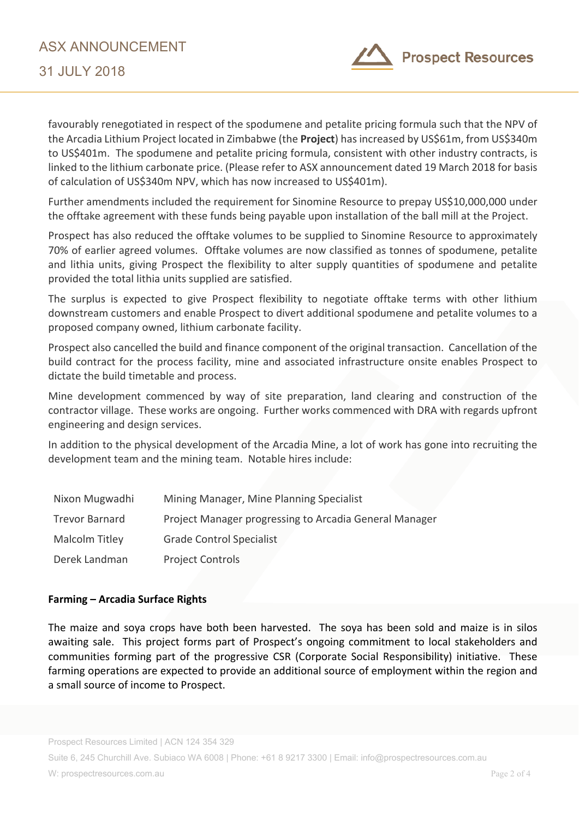

favourably renegotiated in respect of the spodumene and petalite pricing formula such that the NPV of the Arcadia Lithium Project located in Zimbabwe (the **Project**) has increased by US\$61m, from US\$340m to US\$401m. The spodumene and petalite pricing formula, consistent with other industry contracts, is linked to the lithium carbonate price. (Please refer to ASX announcement dated 19 March 2018 for basis of calculation of US\$340m NPV, which has now increased to US\$401m).

Further amendments included the requirement for Sinomine Resource to prepay US\$10,000,000 under the offtake agreement with these funds being payable upon installation of the ball mill at the Project.

Prospect has also reduced the offtake volumes to be supplied to Sinomine Resource to approximately 70% of earlier agreed volumes. Offtake volumes are now classified as tonnes of spodumene, petalite and lithia units, giving Prospect the flexibility to alter supply quantities of spodumene and petalite provided the total lithia units supplied are satisfied.

The surplus is expected to give Prospect flexibility to negotiate offtake terms with other lithium downstream customers and enable Prospect to divert additional spodumene and petalite volumes to a proposed company owned, lithium carbonate facility.

Prospect also cancelled the build and finance component of the original transaction. Cancellation of the build contract for the process facility, mine and associated infrastructure onsite enables Prospect to dictate the build timetable and process.

Mine development commenced by way of site preparation, land clearing and construction of the contractor village. These works are ongoing. Further works commenced with DRA with regards upfront engineering and design services.

In addition to the physical development of the Arcadia Mine, a lot of work has gone into recruiting the development team and the mining team. Notable hires include:

| Nixon Mugwadhi        | Mining Manager, Mine Planning Specialist               |
|-----------------------|--------------------------------------------------------|
| <b>Trevor Barnard</b> | Project Manager progressing to Arcadia General Manager |
| Malcolm Titley        | <b>Grade Control Specialist</b>                        |
| Derek Landman         | <b>Project Controls</b>                                |

## **Farming – Arcadia Surface Rights**

The maize and soya crops have both been harvested. The soya has been sold and maize is in silos awaiting sale. This project forms part of Prospect's ongoing commitment to local stakeholders and communities forming part of the progressive CSR (Corporate Social Responsibility) initiative. These farming operations are expected to provide an additional source of employment within the region and a small source of income to Prospect.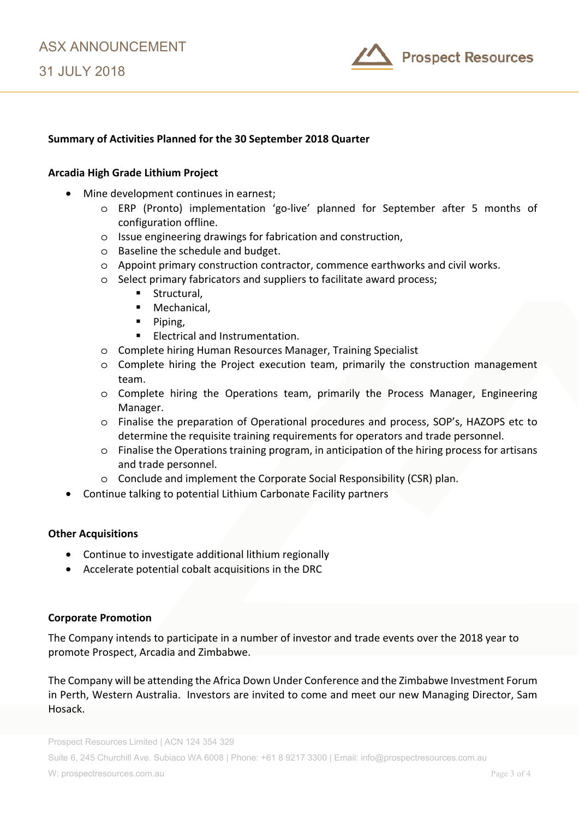

# **Summary of Activities Planned for the 30 September 2018 Quarter**

#### **Arcadia High Grade Lithium Project**

- Mine development continues in earnest;
	- o ERP (Pronto) implementation 'go-live' planned for September after 5 months of configuration offline.
	- o Issue engineering drawings for fabrication and construction,
	- o Baseline the schedule and budget.
	- o Appoint primary construction contractor, commence earthworks and civil works.
	- o Select primary fabricators and suppliers to facilitate award process;
		- Structural,
		- Mechanical,
		- $\blacksquare$  Piping,
		- **Electrical and Instrumentation.**
	- o Complete hiring Human Resources Manager, Training Specialist
	- o Complete hiring the Project execution team, primarily the construction management team.
	- o Complete hiring the Operations team, primarily the Process Manager, Engineering Manager.
	- o Finalise the preparation of Operational procedures and process, SOP's, HAZOPS etc to determine the requisite training requirements for operators and trade personnel.
	- o Finalise the Operations training program, in anticipation of the hiring process for artisans and trade personnel.
	- o Conclude and implement the Corporate Social Responsibility (CSR) plan.
- Continue talking to potential Lithium Carbonate Facility partners

#### **Other Acquisitions**

- Continue to investigate additional lithium regionally
- Accelerate potential cobalt acquisitions in the DRC

#### **Corporate Promotion**

The Company intends to participate in a number of investor and trade events over the 2018 year to promote Prospect, Arcadia and Zimbabwe.

The Company will be attending the Africa Down Under Conference and the Zimbabwe Investment Forum in Perth, Western Australia. Investors are invited to come and meet our new Managing Director, Sam Hosack.

Prospect Resources Limited | ACN 124 354 329

Suite 6, 245 Churchill Ave. Subiaco WA 6008 | Phone: +61 8 9217 3300 | Email: info@prospectresources.com.au